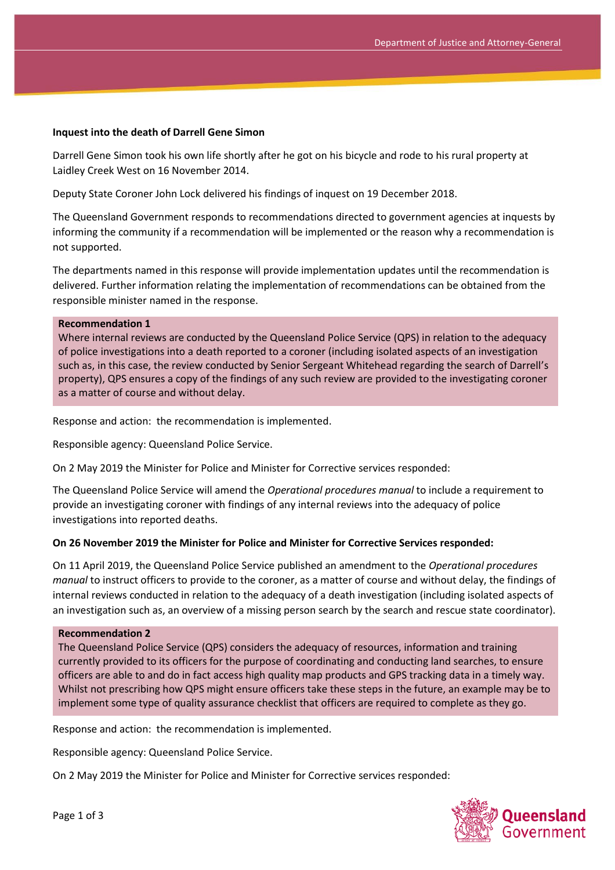## **Inquest into the death of Darrell Gene Simon**

Darrell Gene Simon took his own life shortly after he got on his bicycle and rode to his rural property at Laidley Creek West on 16 November 2014.

Deputy State Coroner John Lock delivered his findings of inquest on 19 December 2018.

The Queensland Government responds to recommendations directed to government agencies at inquests by informing the community if a recommendation will be implemented or the reason why a recommendation is not supported.

The departments named in this response will provide implementation updates until the recommendation is delivered. Further information relating the implementation of recommendations can be obtained from the responsible minister named in the response.

#### **Recommendation 1**

Where internal reviews are conducted by the Queensland Police Service (QPS) in relation to the adequacy of police investigations into a death reported to a coroner (including isolated aspects of an investigation such as, in this case, the review conducted by Senior Sergeant Whitehead regarding the search of Darrell's property), QPS ensures a copy of the findings of any such review are provided to the investigating coroner as a matter of course and without delay.

Response and action: the recommendation is implemented.

Responsible agency: Queensland Police Service.

On 2 May 2019 the Minister for Police and Minister for Corrective services responded:

The Queensland Police Service will amend the *Operational procedures manual* to include a requirement to provide an investigating coroner with findings of any internal reviews into the adequacy of police investigations into reported deaths.

### **On 26 November 2019 the Minister for Police and Minister for Corrective Services responded:**

On 11 April 2019, the Queensland Police Service published an amendment to the *Operational procedures manual* to instruct officers to provide to the coroner, as a matter of course and without delay, the findings of internal reviews conducted in relation to the adequacy of a death investigation (including isolated aspects of an investigation such as, an overview of a missing person search by the search and rescue state coordinator).

### **Recommendation 2**

The Queensland Police Service (QPS) considers the adequacy of resources, information and training currently provided to its officers for the purpose of coordinating and conducting land searches, to ensure officers are able to and do in fact access high quality map products and GPS tracking data in a timely way. Whilst not prescribing how QPS might ensure officers take these steps in the future, an example may be to implement some type of quality assurance checklist that officers are required to complete as they go.

Response and action: the recommendation is implemented.

Responsible agency: Queensland Police Service.

On 2 May 2019 the Minister for Police and Minister for Corrective services responded:

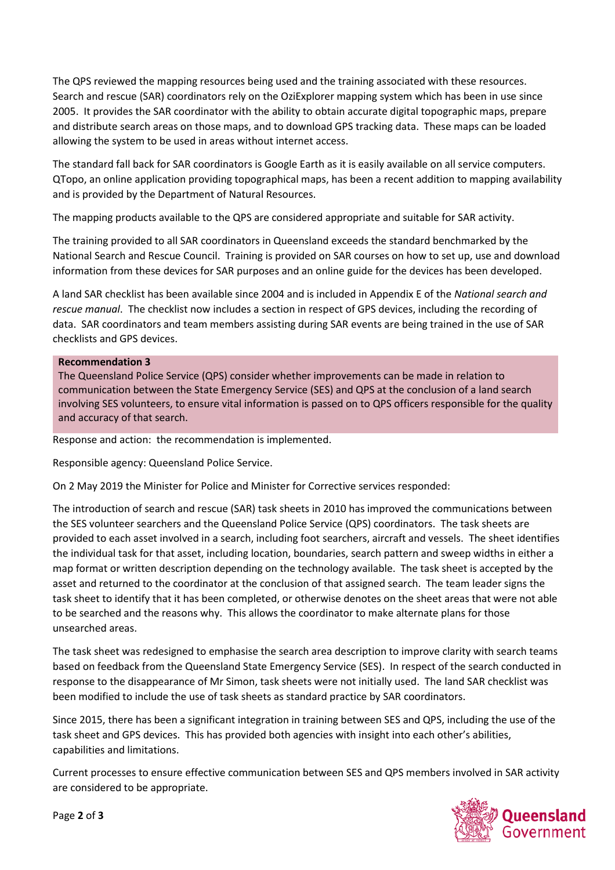The QPS reviewed the mapping resources being used and the training associated with these resources. Search and rescue (SAR) coordinators rely on the OziExplorer mapping system which has been in use since 2005. It provides the SAR coordinator with the ability to obtain accurate digital topographic maps, prepare and distribute search areas on those maps, and to download GPS tracking data. These maps can be loaded allowing the system to be used in areas without internet access.

The standard fall back for SAR coordinators is Google Earth as it is easily available on all service computers. QTopo, an online application providing topographical maps, has been a recent addition to mapping availability and is provided by the Department of Natural Resources.

The mapping products available to the QPS are considered appropriate and suitable for SAR activity.

The training provided to all SAR coordinators in Queensland exceeds the standard benchmarked by the National Search and Rescue Council. Training is provided on SAR courses on how to set up, use and download information from these devices for SAR purposes and an online guide for the devices has been developed.

A land SAR checklist has been available since 2004 and is included in Appendix E of the *National search and rescue manual*. The checklist now includes a section in respect of GPS devices, including the recording of data. SAR coordinators and team members assisting during SAR events are being trained in the use of SAR checklists and GPS devices.

# **Recommendation 3**

The Queensland Police Service (QPS) consider whether improvements can be made in relation to communication between the State Emergency Service (SES) and QPS at the conclusion of a land search involving SES volunteers, to ensure vital information is passed on to QPS officers responsible for the quality and accuracy of that search.

Response and action: the recommendation is implemented.

Responsible agency: Queensland Police Service.

On 2 May 2019 the Minister for Police and Minister for Corrective services responded:

The introduction of search and rescue (SAR) task sheets in 2010 has improved the communications between the SES volunteer searchers and the Queensland Police Service (QPS) coordinators. The task sheets are provided to each asset involved in a search, including foot searchers, aircraft and vessels. The sheet identifies the individual task for that asset, including location, boundaries, search pattern and sweep widths in either a map format or written description depending on the technology available. The task sheet is accepted by the asset and returned to the coordinator at the conclusion of that assigned search. The team leader signs the task sheet to identify that it has been completed, or otherwise denotes on the sheet areas that were not able to be searched and the reasons why. This allows the coordinator to make alternate plans for those unsearched areas.

The task sheet was redesigned to emphasise the search area description to improve clarity with search teams based on feedback from the Queensland State Emergency Service (SES). In respect of the search conducted in response to the disappearance of Mr Simon, task sheets were not initially used. The land SAR checklist was been modified to include the use of task sheets as standard practice by SAR coordinators.

Since 2015, there has been a significant integration in training between SES and QPS, including the use of the task sheet and GPS devices. This has provided both agencies with insight into each other's abilities, capabilities and limitations.

Current processes to ensure effective communication between SES and QPS members involved in SAR activity are considered to be appropriate.



Page **2** of **3**